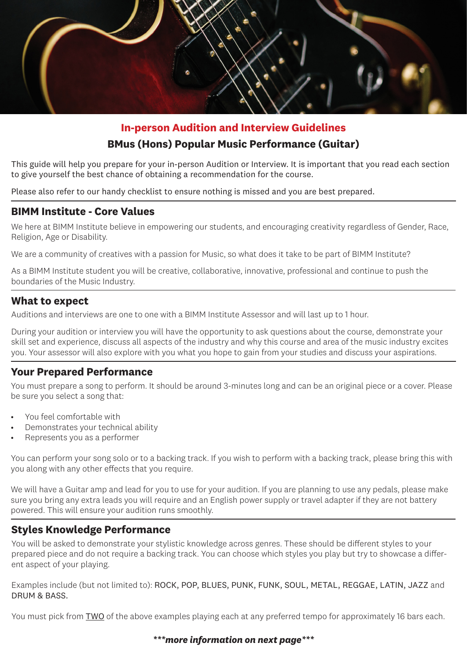

# **In-person Audition and Interview Guidelines BMus (Hons) Popular Music Performance (Guitar)**

This guide will help you prepare for your in-person Audition or Interview. It is important that you read each section to give yourself the best chance of obtaining a recommendation for the course.

Please also refer to our handy checklist to ensure nothing is missed and you are best prepared.

## **BIMM Institute - Core Values**

We here at BIMM Institute believe in empowering our students, and encouraging creativity regardless of Gender, Race, Religion, Age or Disability.

We are a community of creatives with a passion for Music, so what does it take to be part of BIMM Institute?

As a BIMM Institute student you will be creative, collaborative, innovative, professional and continue to push the boundaries of the Music Industry.

## **What to expect**

Auditions and interviews are one to one with a BIMM Institute Assessor and will last up to 1 hour.

During your audition or interview you will have the opportunity to ask questions about the course, demonstrate your skill set and experience, discuss all aspects of the industry and why this course and area of the music industry excites you. Your assessor will also explore with you what you hope to gain from your studies and discuss your aspirations.

## **Your Prepared Performance**

You must prepare a song to perform. It should be around 3-minutes long and can be an original piece or a cover. Please be sure you select a song that:

- You feel comfortable with
- Demonstrates your technical ability
- Represents you as a performer

You can perform your song solo or to a backing track. If you wish to perform with a backing track, please bring this with you along with any other effects that you require.

We will have a Guitar amp and lead for you to use for your audition. If you are planning to use any pedals, please make sure you bring any extra leads you will require and an English power supply or travel adapter if they are not battery powered. This will ensure your audition runs smoothly.

# **Styles Knowledge Performance**

You will be asked to demonstrate your stylistic knowledge across genres. These should be different styles to your prepared piece and do not require a backing track. You can choose which styles you play but try to showcase a different aspect of your playing.

Examples include (but not limited to): ROCK, POP, BLUES, PUNK, FUNK, SOUL, METAL, REGGAE, LATIN, JAZZ and DRUM & BASS.

You must pick from TWO of the above examples playing each at any preferred tempo for approximately 16 bars each.

#### *\*\*\*more information on next page\*\*\**